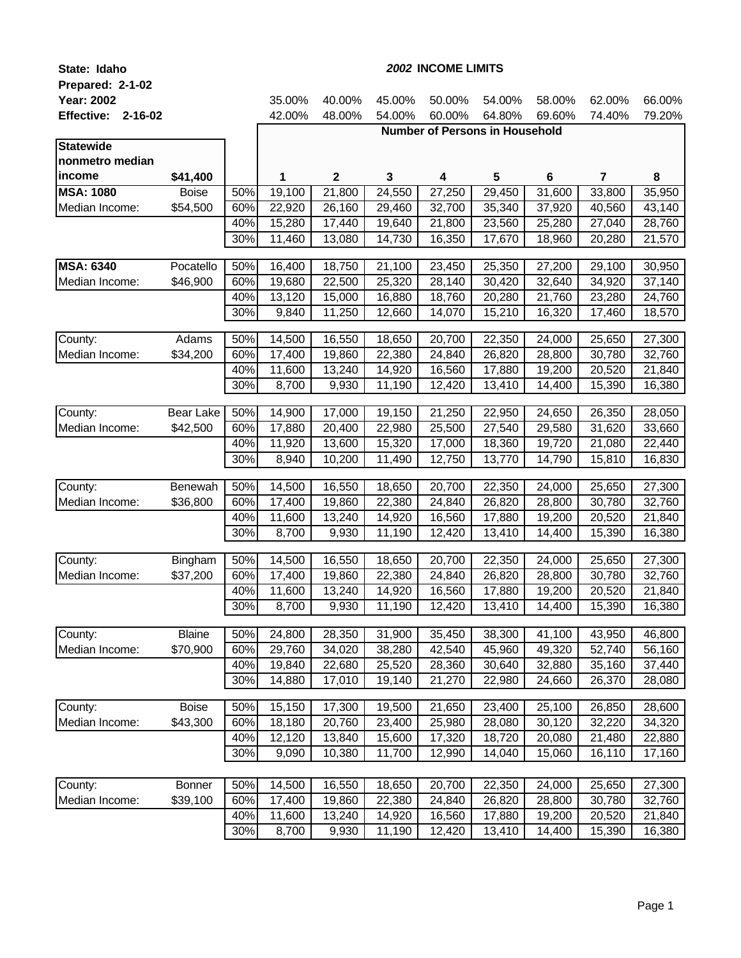| State: Idaho              | 2002 INCOME LIMITS |     |        |              |        |        |                                       |         |                         |        |
|---------------------------|--------------------|-----|--------|--------------|--------|--------|---------------------------------------|---------|-------------------------|--------|
| Prepared: 2-1-02          |                    |     |        |              |        |        |                                       |         |                         |        |
| <b>Year: 2002</b>         |                    |     | 35.00% | 40.00%       | 45.00% | 50.00% | 54.00%                                | 58.00%  | 62.00%                  | 66.00% |
| <b>Effective: 2-16-02</b> |                    |     | 42.00% | 48.00%       | 54.00% | 60.00% | 64.80%                                | 69.60%  | 74.40%                  | 79.20% |
|                           |                    |     |        |              |        |        | <b>Number of Persons in Household</b> |         |                         |        |
| <b>Statewide</b>          |                    |     |        |              |        |        |                                       |         |                         |        |
| nonmetro median           |                    |     |        |              |        |        |                                       |         |                         |        |
| income                    | \$41,400           |     | 1      | $\mathbf{2}$ | 3      | 4      | 5                                     | $\bf 6$ | $\overline{\mathbf{r}}$ | 8      |
| <b>MSA: 1080</b>          | <b>Boise</b>       | 50% | 19,100 | 21,800       | 24,550 | 27,250 | 29,450                                | 31,600  | 33,800                  | 35,950 |
| Median Income:            | \$54,500           | 60% | 22,920 | 26,160       | 29,460 | 32,700 | 35,340                                | 37,920  | 40,560                  | 43,140 |
|                           |                    | 40% | 15,280 | 17,440       | 19,640 | 21,800 | 23,560                                | 25,280  | 27,040                  | 28,760 |
|                           |                    | 30% | 11,460 | 13,080       | 14,730 | 16,350 | 17,670                                | 18,960  | 20,280                  | 21,570 |
|                           |                    |     |        |              |        |        |                                       |         |                         |        |
| <b>MSA: 6340</b>          | Pocatello          | 50% | 16,400 | 18,750       | 21,100 | 23,450 | 25,350                                | 27,200  | 29,100                  | 30,950 |
| Median Income:            | \$46,900           | 60% | 19,680 | 22,500       | 25,320 | 28,140 | 30,420                                | 32,640  | 34,920                  | 37,140 |
|                           |                    | 40% | 13,120 | 15,000       | 16,880 | 18,760 | 20,280                                | 21,760  | 23,280                  | 24,760 |
|                           |                    | 30% | 9,840  | 11,250       | 12,660 | 14,070 | 15,210                                | 16,320  | 17,460                  | 18,570 |
| County:                   | Adams              | 50% | 14,500 | 16,550       | 18,650 | 20,700 | 22,350                                | 24,000  | 25,650                  | 27,300 |
| Median Income:            | \$34,200           | 60% | 17,400 | 19,860       | 22,380 | 24,840 | 26,820                                | 28,800  | 30,780                  | 32,760 |
|                           |                    | 40% | 11,600 | 13,240       | 14,920 | 16,560 | 17,880                                | 19,200  | 20,520                  | 21,840 |
|                           |                    | 30% | 8,700  | 9,930        | 11,190 | 12,420 | 13,410                                | 14,400  | 15,390                  | 16,380 |
|                           |                    |     |        |              |        |        |                                       |         |                         |        |
| County:                   | Bear Lake          | 50% | 14,900 | 17,000       | 19,150 | 21,250 | 22,950                                | 24,650  | 26,350                  | 28,050 |
| Median Income:            | \$42,500           | 60% | 17,880 | 20,400       | 22,980 | 25,500 | 27,540                                | 29,580  | 31,620                  | 33,660 |
|                           |                    | 40% | 11,920 | 13,600       | 15,320 | 17,000 | 18,360                                | 19,720  | 21,080                  | 22,440 |
|                           |                    | 30% | 8,940  | 10,200       | 11,490 | 12,750 | 13,770                                | 14,790  | 15,810                  | 16,830 |
|                           |                    |     |        |              |        |        |                                       |         |                         |        |
| County:                   | Benewah            | 50% | 14,500 | 16,550       | 18,650 | 20,700 | 22,350                                | 24,000  | 25,650                  | 27,300 |
| Median Income:            | \$36,800           | 60% | 17,400 | 19,860       | 22,380 | 24,840 | 26,820                                | 28,800  | 30,780                  | 32,760 |
|                           |                    | 40% | 11,600 | 13,240       | 14,920 | 16,560 | 17,880                                | 19,200  | 20,520                  | 21,840 |
|                           |                    | 30% | 8,700  | 9,930        | 11,190 | 12,420 | 13,410                                | 14,400  | 15,390                  | 16,380 |
|                           |                    |     |        |              |        |        |                                       |         |                         |        |
| County:                   | Bingham            | 50% | 14,500 | 16,550       | 18,650 | 20,700 | 22,350                                | 24,000  | 25,650                  | 27,300 |
| Median Income:            | \$37,200           | 60% | 17,400 | 19,860       | 22,380 | 24,840 | 26,820                                | 28,800  | 30,780                  | 32,760 |
|                           |                    | 40% | 11,600 | 13,240       | 14,920 | 16,560 | 17,880                                | 19,200  | 20,520                  | 21,840 |
|                           |                    | 30% | 8,700  | 9,930        | 11,190 | 12,420 | 13,410                                | 14,400  | 15,390                  | 16,380 |
| County:                   | <b>Blaine</b>      | 50% | 24,800 | 28,350       | 31,900 | 35,450 | 38,300                                | 41,100  | 43,950                  | 46,800 |
| Median Income:            | \$70,900           | 60% | 29,760 | 34,020       | 38,280 | 42,540 | 45,960                                | 49,320  | 52,740                  | 56,160 |
|                           |                    | 40% | 19,840 | 22,680       | 25,520 | 28,360 | 30,640                                | 32,880  | 35,160                  | 37,440 |
|                           |                    | 30% | 14,880 | 17,010       | 19,140 | 21,270 | 22,980                                | 24,660  | 26,370                  | 28,080 |
|                           |                    |     |        |              |        |        |                                       |         |                         |        |
| County:                   | <b>Boise</b>       | 50% | 15,150 | 17,300       | 19,500 | 21,650 | 23,400                                | 25,100  | 26,850                  | 28,600 |
| Median Income:            | \$43,300           | 60% | 18,180 | 20,760       | 23,400 | 25,980 | 28,080                                | 30,120  | 32,220                  | 34,320 |
|                           |                    | 40% | 12,120 | 13,840       | 15,600 | 17,320 | 18,720                                | 20,080  | 21,480                  | 22,880 |
|                           |                    | 30% | 9,090  | 10,380       | 11,700 | 12,990 | 14,040                                | 15,060  | 16,110                  | 17,160 |
|                           |                    |     |        |              |        |        |                                       |         |                         |        |
| County:                   | Bonner             | 50% | 14,500 | 16,550       | 18,650 | 20,700 | 22,350                                | 24,000  | 25,650                  | 27,300 |
| Median Income:            | \$39,100           | 60% | 17,400 | 19,860       | 22,380 | 24,840 | 26,820                                | 28,800  | 30,780                  | 32,760 |
|                           |                    | 40% | 11,600 | 13,240       | 14,920 | 16,560 | 17,880                                | 19,200  | 20,520                  | 21,840 |
|                           |                    | 30% | 8,700  | 9,930        | 11,190 | 12,420 | 13,410                                | 14,400  | 15,390                  | 16,380 |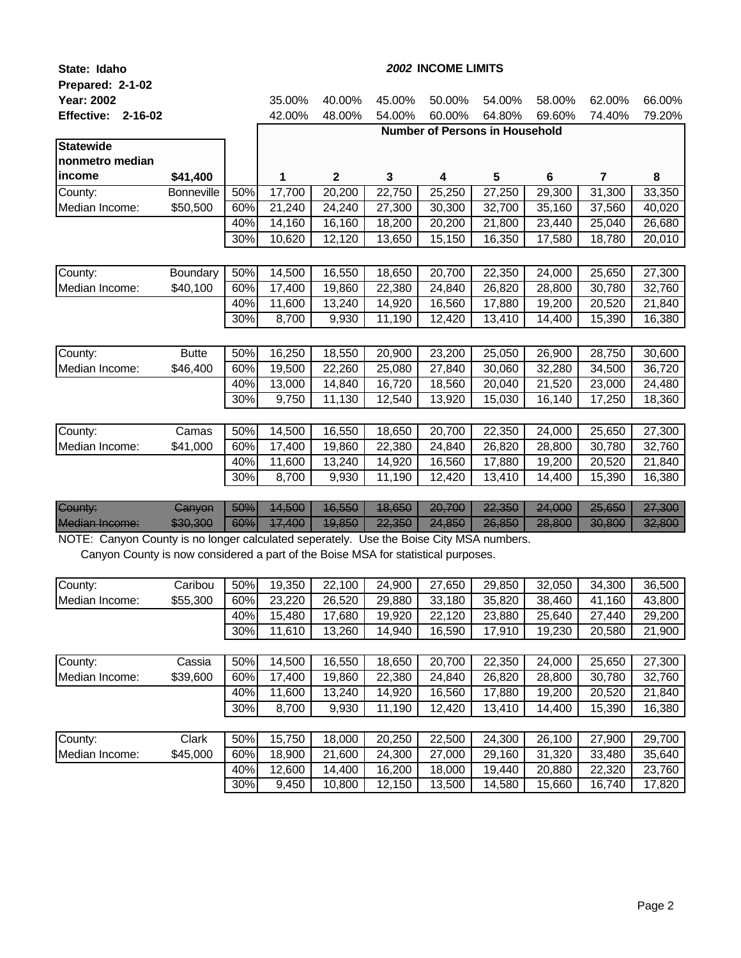| State: Idaho                                                                            |                   | 2002 INCOME LIMITS |        |              |        |                                       |        |        |        |        |
|-----------------------------------------------------------------------------------------|-------------------|--------------------|--------|--------------|--------|---------------------------------------|--------|--------|--------|--------|
| Prepared: 2-1-02                                                                        |                   |                    |        |              |        |                                       |        |        |        |        |
| <b>Year: 2002</b>                                                                       |                   |                    | 35.00% | 40.00%       | 45.00% | 50.00%                                | 54.00% | 58.00% | 62.00% | 66.00% |
| <b>Effective:</b><br>$2 - 16 - 02$                                                      |                   |                    | 42.00% | 48.00%       | 54.00% | 60.00%                                | 64.80% | 69.60% | 74.40% | 79.20% |
|                                                                                         |                   |                    |        |              |        | <b>Number of Persons in Household</b> |        |        |        |        |
| <b>Statewide</b>                                                                        |                   |                    |        |              |        |                                       |        |        |        |        |
| nonmetro median                                                                         |                   |                    |        |              |        |                                       |        |        |        |        |
| income                                                                                  | \$41,400          |                    | 1      | $\mathbf{2}$ | 3      | 4                                     | 5      | 6      | 7      | 8      |
| County:                                                                                 | <b>Bonneville</b> | 50%                | 17,700 | 20,200       | 22,750 | 25,250                                | 27,250 | 29,300 | 31,300 | 33,350 |
| Median Income:                                                                          | \$50,500          | 60%                | 21,240 | 24,240       | 27,300 | 30,300                                | 32,700 | 35,160 | 37,560 | 40,020 |
|                                                                                         |                   | 40%                | 14,160 | 16,160       | 18,200 | 20,200                                | 21,800 | 23,440 | 25,040 | 26,680 |
|                                                                                         |                   | 30%                | 10,620 | 12,120       | 13,650 | 15,150                                | 16,350 | 17,580 | 18,780 | 20,010 |
|                                                                                         |                   |                    |        |              |        |                                       |        |        |        |        |
| County:                                                                                 | Boundary          | 50%                | 14,500 | 16,550       | 18,650 | 20,700                                | 22,350 | 24,000 | 25,650 | 27,300 |
| Median Income:                                                                          | \$40,100          | 60%                | 17,400 | 19,860       | 22,380 | 24,840                                | 26,820 | 28,800 | 30,780 | 32,760 |
|                                                                                         |                   | 40%                | 11,600 | 13,240       | 14,920 | 16,560                                | 17,880 | 19,200 | 20,520 | 21,840 |
|                                                                                         |                   | 30%                | 8,700  | 9,930        | 11,190 | 12,420                                | 13,410 | 14,400 | 15,390 | 16,380 |
|                                                                                         |                   |                    |        |              |        |                                       |        |        |        |        |
| County:                                                                                 | <b>Butte</b>      | 50%                | 16,250 | 18,550       | 20,900 | 23,200                                | 25,050 | 26,900 | 28,750 | 30,600 |
| Median Income:                                                                          | \$46,400          | 60%                | 19,500 | 22,260       | 25,080 | 27,840                                | 30,060 | 32,280 | 34,500 | 36,720 |
|                                                                                         |                   | 40%                | 13,000 | 14,840       | 16,720 | 18,560                                | 20,040 | 21,520 | 23,000 | 24,480 |
|                                                                                         |                   | 30%                | 9,750  | 11,130       | 12,540 | 13,920                                | 15,030 | 16,140 | 17,250 | 18,360 |
|                                                                                         |                   |                    |        |              |        |                                       |        |        |        |        |
| County:                                                                                 | Camas             | 50%                | 14,500 | 16,550       | 18,650 | 20,700                                | 22,350 | 24,000 | 25,650 | 27,300 |
| Median Income:                                                                          | \$41,000          | 60%                | 17,400 | 19,860       | 22,380 | 24,840                                | 26,820 | 28,800 | 30,780 | 32,760 |
|                                                                                         |                   | 40%                | 11,600 | 13,240       | 14,920 | 16,560                                | 17,880 | 19,200 | 20,520 | 21,840 |
|                                                                                         |                   | 30%                | 8,700  | 9,930        | 11,190 | 12,420                                | 13,410 | 14,400 | 15,390 | 16,380 |
|                                                                                         |                   |                    |        |              |        |                                       |        |        |        |        |
| <b>County:</b>                                                                          | Ganyon            | 50%                | 14,500 | 16,550       | 18,650 | 20,700                                | 22,350 | 24,000 | 25,650 | 27,300 |
| <b>Median Income:</b>                                                                   | \$30,300          | 60%                | 17,400 | 19,850       | 22,350 | 24,850                                | 26,850 | 28,800 | 30,800 | 32,800 |
| NOTE: Canyon County is no longer calculated seperately. Use the Boise City MSA numbers. |                   |                    |        |              |        |                                       |        |        |        |        |

Canyon County is now considered a part of the Boise MSA for statistical purposes.

| County:        | Caribou  | 50% | 19.350 | 22,100 | 24,900 | 27.650 | 29,850 | 32.050 | 34.300 | 36,500 |
|----------------|----------|-----|--------|--------|--------|--------|--------|--------|--------|--------|
| Median Income: | \$55,300 | 60% | 23,220 | 26,520 | 29,880 | 33,180 | 35,820 | 38,460 | 41,160 | 43,800 |
|                |          | 40% | 15,480 | 17,680 | 19,920 | 22,120 | 23,880 | 25,640 | 27,440 | 29,200 |
|                |          | 30% | 11,610 | 13,260 | 14,940 | 16,590 | 17,910 | 19,230 | 20,580 | 21,900 |
|                |          |     |        |        |        |        |        |        |        |        |
| County:        | Cassia   | 50% | 14,500 | 16,550 | 18,650 | 20,700 | 22,350 | 24.000 | 25.650 | 27,300 |
| Median Income: | \$39,600 | 60% | 17.400 | 19,860 | 22,380 | 24,840 | 26,820 | 28,800 | 30,780 | 32,760 |
|                |          | 40% | 11,600 | 13,240 | 14,920 | 16,560 | 17,880 | 19,200 | 20,520 | 21,840 |
|                |          | 30% | 8,700  | 9,930  | 11,190 | 12,420 | 13,410 | 14,400 | 15,390 | 16,380 |
|                |          |     |        |        |        |        |        |        |        |        |
| County:        | Clark    | 50% | 15,750 | 18,000 | 20,250 | 22,500 | 24,300 | 26,100 | 27,900 | 29,700 |
| Median Income: | \$45,000 | 60% | 18,900 | 21,600 | 24,300 | 27,000 | 29,160 | 31,320 | 33,480 | 35,640 |
|                |          | 40% | 12.600 | 14.400 | 16,200 | 18,000 | 19.440 | 20,880 | 22.320 | 23,760 |
|                |          | 30% | 9,450  | 10.800 | 12.150 | 13.500 | 14.580 | 15.660 | 16.740 | 17,820 |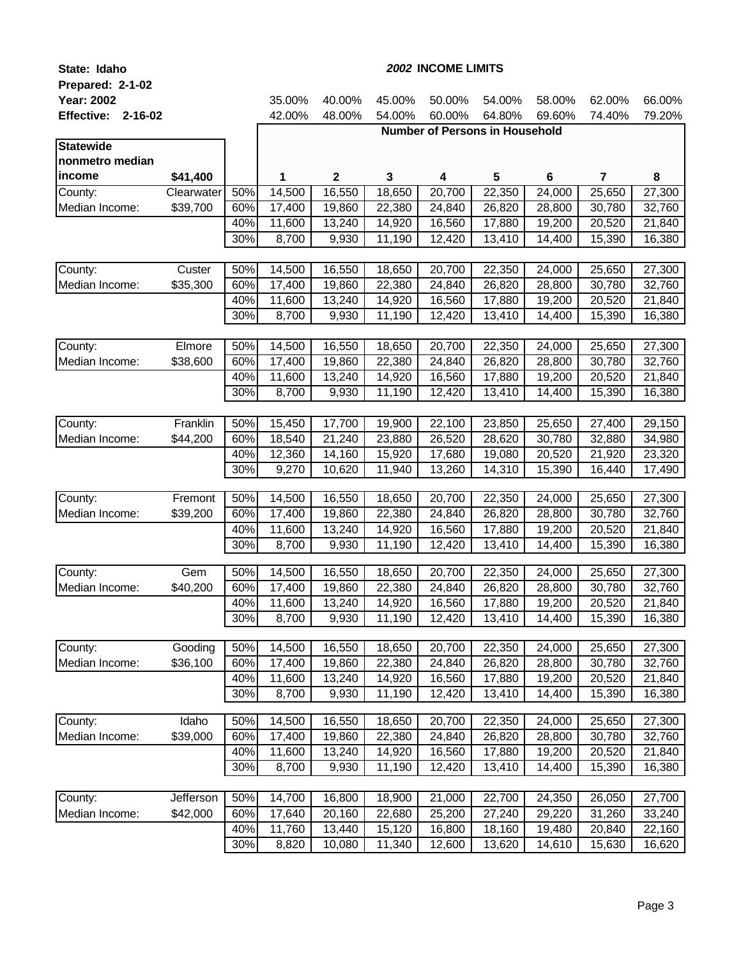| State: Idaho              |                    | 2002 INCOME LIMITS |                  |                  |                  |                  |                                       |                  |                         |                  |
|---------------------------|--------------------|--------------------|------------------|------------------|------------------|------------------|---------------------------------------|------------------|-------------------------|------------------|
| Prepared: 2-1-02          |                    |                    |                  |                  |                  |                  |                                       |                  |                         |                  |
| <b>Year: 2002</b>         |                    |                    | 35.00%           | 40.00%           | 45.00%           | 50.00%           | 54.00%                                | 58.00%           | 62.00%                  | 66.00%           |
| <b>Effective: 2-16-02</b> |                    |                    | 42.00%           | 48.00%           | 54.00%           | 60.00%           | 64.80%                                | 69.60%           | 74.40%                  | 79.20%           |
|                           |                    |                    |                  |                  |                  |                  | <b>Number of Persons in Household</b> |                  |                         |                  |
| <b>Statewide</b>          |                    |                    |                  |                  |                  |                  |                                       |                  |                         |                  |
| nonmetro median           |                    |                    |                  |                  |                  |                  |                                       |                  |                         |                  |
| income                    | \$41,400           |                    | 1                | $\mathbf{2}$     | 3                | 4                | 5                                     | $\bf 6$          | $\overline{\mathbf{r}}$ | 8                |
| County:                   | Clearwater         | 50%                | 14,500           | 16,550           | 18,650           | 20,700           | 22,350                                | 24,000           | 25,650                  | 27,300           |
| Median Income:            | \$39,700           | 60%                | 17,400           | 19,860           | 22,380           | 24,840           | 26,820                                | 28,800           | 30,780                  | 32,760           |
|                           |                    | 40%                | 11,600           | 13,240           | 14,920           | 16,560           | 17,880                                | 19,200           | 20,520                  | 21,840           |
|                           |                    | 30%                | 8,700            | 9,930            | 11,190           | 12,420           | 13,410                                | 14,400           | 15,390                  | 16,380           |
| County:                   |                    |                    |                  |                  |                  |                  |                                       |                  |                         |                  |
| Median Income:            | Custer<br>\$35,300 | 50%<br>60%         | 14,500<br>17,400 | 16,550<br>19,860 | 18,650<br>22,380 | 20,700<br>24,840 | 22,350<br>26,820                      | 24,000<br>28,800 | 25,650<br>30,780        | 27,300<br>32,760 |
|                           |                    | 40%                | 11,600           | 13,240           | 14,920           | 16,560           | 17,880                                | 19,200           | 20,520                  | 21,840           |
|                           |                    | 30%                | 8,700            | 9,930            | 11,190           | 12,420           | 13,410                                | 14,400           | 15,390                  | 16,380           |
|                           |                    |                    |                  |                  |                  |                  |                                       |                  |                         |                  |
| County:                   | Elmore             | 50%                | 14,500           | 16,550           | 18,650           | 20,700           | 22,350                                | 24,000           | 25,650                  | 27,300           |
| Median Income:            | \$38,600           | 60%                | 17,400           | 19,860           | 22,380           | 24,840           | 26,820                                | 28,800           | 30,780                  | 32,760           |
|                           |                    | 40%                | 11,600           | 13,240           | 14,920           | 16,560           | 17,880                                | 19,200           | 20,520                  | 21,840           |
|                           |                    | 30%                | 8,700            | 9,930            | 11,190           | 12,420           | 13,410                                | 14,400           | 15,390                  | 16,380           |
|                           |                    |                    |                  |                  |                  |                  |                                       |                  |                         |                  |
| County:                   | Franklin           | 50%                | 15,450           | 17,700           | 19,900           | 22,100           | 23,850                                | 25,650           | 27,400                  | 29,150           |
| Median Income:            | \$44,200           | 60%                | 18,540           | 21,240           | 23,880           | 26,520           | 28,620                                | 30,780           | 32,880                  | 34,980           |
|                           |                    | 40%                | 12,360           | 14,160           | 15,920           | 17,680           | 19,080                                | 20,520           | 21,920                  | 23,320           |
|                           |                    | 30%                | 9,270            | 10,620           | 11,940           | 13,260           | 14,310                                | 15,390           | 16,440                  | 17,490           |
|                           |                    |                    |                  |                  |                  |                  |                                       |                  |                         |                  |
| County:                   | Fremont            | 50%                | 14,500           | 16,550           | 18,650           | 20,700           | 22,350                                | 24,000           | 25,650                  | 27,300           |
| Median Income:            | \$39,200           | 60%                | 17,400           | 19,860           | 22,380           | 24,840           | 26,820                                | 28,800           | 30,780                  | 32,760           |
|                           |                    | 40%                | 11,600           | 13,240           | 14,920           | 16,560           | 17,880                                | 19,200           | 20,520                  | 21,840           |
|                           |                    | 30%                | 8,700            | 9,930            | 11,190           | 12,420           | 13,410                                | 14,400           | 15,390                  | 16,380           |
| County:                   | Gem                | 50%                | 14,500           | 16,550           | 18,650           | 20,700           | 22,350                                | 24,000           | 25,650                  | 27,300           |
| Median Income:            | \$40,200           | 60%                | 17,400           | 19,860           | 22,380           | 24,840           | 26,820                                | 28,800           | 30,780                  | 32,760           |
|                           |                    | 40%                | 11,600           | 13,240           | 14,920           | 16,560           | 17,880                                | 19,200           | 20,520                  | 21,840           |
|                           |                    | 30%                | 8,700            | 9,930            | 11,190           | 12,420           | 13,410                                | 14,400           | 15,390                  | 16,380           |
|                           |                    |                    |                  |                  |                  |                  |                                       |                  |                         |                  |
| County:                   | Gooding            | 50%                | 14,500           | 16,550           | 18,650           | 20,700           | 22,350                                | 24,000           | 25,650                  | 27,300           |
| Median Income:            | \$36,100           | 60%                | 17,400           | 19,860           | 22,380           | 24,840           | 26,820                                | 28,800           | 30,780                  | 32,760           |
|                           |                    | 40%                | 11,600           | 13,240           | 14,920           | 16,560           | 17,880                                | 19,200           | 20,520                  | 21,840           |
|                           |                    | 30%                | 8,700            | 9,930            | 11,190           | 12,420           | 13,410                                | 14,400           | 15,390                  | 16,380           |
|                           |                    |                    |                  |                  |                  |                  |                                       |                  |                         |                  |
| County:                   | Idaho              | 50%                | 14,500           | 16,550           | 18,650           | 20,700           | 22,350                                | 24,000           | 25,650                  | 27,300           |
| Median Income:            | \$39,000           | 60%                | 17,400           | 19,860           | 22,380           | 24,840           | 26,820                                | 28,800           | 30,780                  | 32,760           |
|                           |                    | 40%<br>30%         | 11,600           | 13,240           | 14,920           | 16,560           | 17,880                                | 19,200           | 20,520                  | 21,840           |
|                           |                    |                    | 8,700            | 9,930            | 11,190           | 12,420           | 13,410                                | 14,400           | 15,390                  | 16,380           |
| County:                   | Jefferson          | 50%                | 14,700           | 16,800           | 18,900           | 21,000           | 22,700                                | 24,350           | 26,050                  | 27,700           |
| Median Income:            | \$42,000           | 60%                | 17,640           | 20,160           | 22,680           | 25,200           | 27,240                                | 29,220           | 31,260                  | 33,240           |
|                           |                    | 40%                | 11,760           | 13,440           | 15,120           | 16,800           | 18,160                                | 19,480           | 20,840                  | 22,160           |
|                           |                    | 30%                | 8,820            | 10,080           | 11,340           | 12,600           | 13,620                                | 14,610           | 15,630                  | 16,620           |
|                           |                    |                    |                  |                  |                  |                  |                                       |                  |                         |                  |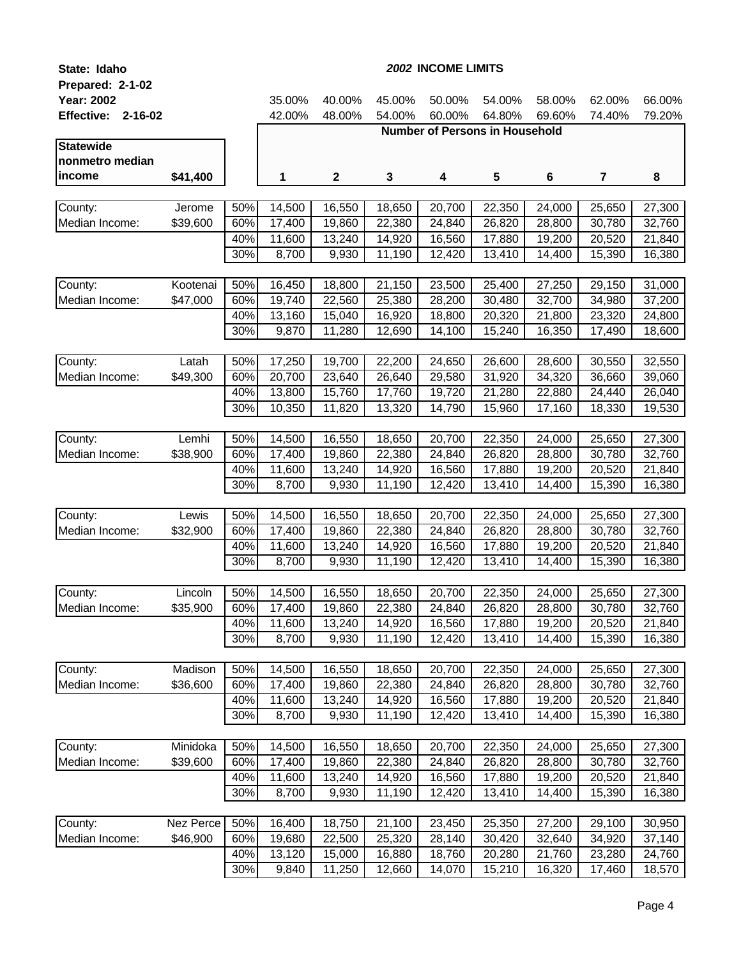| State: Idaho              |           | 2002 INCOME LIMITS |        |             |        |        |                                       |                  |                          |                  |  |
|---------------------------|-----------|--------------------|--------|-------------|--------|--------|---------------------------------------|------------------|--------------------------|------------------|--|
| Prepared: 2-1-02          |           |                    |        |             |        |        |                                       |                  |                          |                  |  |
| <b>Year: 2002</b>         |           |                    | 35.00% | 40.00%      | 45.00% | 50.00% | 54.00%                                | 58.00%           | 62.00%                   | 66.00%           |  |
| <b>Effective: 2-16-02</b> |           |                    | 42.00% | 48.00%      | 54.00% | 60.00% | 64.80%                                | 69.60%           | 74.40%                   | 79.20%           |  |
|                           |           |                    |        |             |        |        | <b>Number of Persons in Household</b> |                  |                          |                  |  |
| <b>Statewide</b>          |           |                    |        |             |        |        |                                       |                  |                          |                  |  |
| nonmetro median           |           |                    |        |             |        |        |                                       |                  |                          |                  |  |
| income                    | \$41,400  |                    | 1      | $\mathbf 2$ | 3      | 4      | 5                                     | 6                | $\overline{\phantom{a}}$ | 8                |  |
|                           |           |                    |        |             |        |        |                                       |                  |                          |                  |  |
| County:                   | Jerome    | 50%                | 14,500 | 16,550      | 18,650 | 20,700 | 22,350                                | 24,000           | 25,650                   | 27,300<br>32,760 |  |
| Median Income:            | \$39,600  | 60%<br>40%         | 17,400 | 19,860      | 22,380 | 24,840 | 26,820<br>17,880                      | 28,800<br>19,200 | 30,780                   |                  |  |
|                           |           | 30%                | 11,600 | 13,240      | 14,920 | 16,560 |                                       |                  | 20,520                   | 21,840           |  |
|                           |           |                    | 8,700  | 9,930       | 11,190 | 12,420 | 13,410                                | 14,400           | 15,390                   | 16,380           |  |
| County:                   | Kootenai  | 50%                | 16,450 | 18,800      | 21,150 | 23,500 | 25,400                                | 27,250           | 29,150                   | 31,000           |  |
| Median Income:            | \$47,000  | 60%                | 19,740 | 22,560      | 25,380 | 28,200 | 30,480                                | 32,700           | 34,980                   | 37,200           |  |
|                           |           | 40%                | 13,160 | 15,040      | 16,920 | 18,800 | 20,320                                | 21,800           | 23,320                   | 24,800           |  |
|                           |           | 30%                | 9,870  | 11,280      | 12,690 | 14,100 | 15,240                                | 16,350           | 17,490                   | 18,600           |  |
|                           |           |                    |        |             |        |        |                                       |                  |                          |                  |  |
| County:                   | Latah     | 50%                | 17,250 | 19,700      | 22,200 | 24,650 | 26,600                                | 28,600           | 30,550                   | 32,550           |  |
| Median Income:            | \$49,300  | 60%                | 20,700 | 23,640      | 26,640 | 29,580 | 31,920                                | 34,320           | 36,660                   | 39,060           |  |
|                           |           | 40%                | 13,800 | 15,760      | 17,760 | 19,720 | 21,280                                | 22,880           | 24,440                   | 26,040           |  |
|                           |           | 30%                | 10,350 | 11,820      | 13,320 | 14,790 | 15,960                                | 17,160           | 18,330                   | 19,530           |  |
|                           |           |                    |        |             |        |        |                                       |                  |                          |                  |  |
| County:                   | Lemhi     | 50%                | 14,500 | 16,550      | 18,650 | 20,700 | 22,350                                | 24,000           | 25,650                   | 27,300           |  |
| Median Income:            | \$38,900  | 60%                | 17,400 | 19,860      | 22,380 | 24,840 | 26,820                                | 28,800           | 30,780                   | 32,760           |  |
|                           |           | 40%<br>30%         | 11,600 | 13,240      | 14,920 | 16,560 | 17,880                                | 19,200           | 20,520                   | 21,840           |  |
|                           |           |                    | 8,700  | 9,930       | 11,190 | 12,420 | 13,410                                | 14,400           | 15,390                   | 16,380           |  |
| County:                   | Lewis     | 50%                | 14,500 | 16,550      | 18,650 | 20,700 | 22,350                                | 24,000           | 25,650                   | 27,300           |  |
| Median Income:            | \$32,900  | 60%                | 17,400 | 19,860      | 22,380 | 24,840 | 26,820                                | 28,800           | 30,780                   | 32,760           |  |
|                           |           | 40%                | 11,600 | 13,240      | 14,920 | 16,560 | 17,880                                | 19,200           | 20,520                   | 21,840           |  |
|                           |           | 30%                | 8,700  | 9,930       | 11,190 | 12,420 | 13,410                                | 14,400           | 15,390                   | 16,380           |  |
|                           |           |                    |        |             |        |        |                                       |                  |                          |                  |  |
| County:                   | Lincoln   | 50%                | 14,500 | 16,550      | 18,650 | 20,700 | 22,350                                | 24,000           | 25,650                   | 27,300           |  |
| Median Income:            | \$35,900  | 60%                | 17,400 | 19,860      | 22,380 | 24,840 | 26,820                                | 28,800           | 30,780                   | 32,760           |  |
|                           |           | 40%                | 11,600 | 13,240      | 14,920 | 16,560 | 17,880                                | 19,200           | 20,520                   | 21,840           |  |
|                           |           | 30%                | 8,700  | 9,930       | 11,190 | 12,420 | 13,410                                | 14,400           | 15,390                   | 16,380           |  |
|                           |           |                    |        |             |        |        |                                       |                  |                          |                  |  |
| County:                   | Madison   | 50%                | 14,500 | 16,550      | 18,650 | 20,700 | 22,350                                | 24,000           | 25,650                   | 27,300           |  |
| Median Income:            | \$36,600  | 60%                | 17,400 | 19,860      | 22,380 | 24,840 | 26,820                                | 28,800           | 30,780                   | 32,760           |  |
|                           |           | 40%                | 11,600 | 13,240      | 14,920 | 16,560 | 17,880                                | 19,200           | 20,520                   | 21,840           |  |
|                           |           | 30%                | 8,700  | 9,930       | 11,190 | 12,420 | 13,410                                | 14,400           | 15,390                   | 16,380           |  |
| County:                   | Minidoka  | 50%                | 14,500 | 16,550      | 18,650 | 20,700 | 22,350                                | 24,000           | 25,650                   | 27,300           |  |
| Median Income:            | \$39,600  | 60%                | 17,400 | 19,860      | 22,380 | 24,840 | 26,820                                | 28,800           | 30,780                   | 32,760           |  |
|                           |           | 40%                | 11,600 | 13,240      | 14,920 | 16,560 | 17,880                                | 19,200           | 20,520                   | 21,840           |  |
|                           |           | 30%                | 8,700  | 9,930       | 11,190 | 12,420 | 13,410                                | 14,400           | 15,390                   | 16,380           |  |
|                           |           |                    |        |             |        |        |                                       |                  |                          |                  |  |
| County:                   | Nez Perce | 50%                | 16,400 | 18,750      | 21,100 | 23,450 | 25,350                                | 27,200           | 29,100                   | 30,950           |  |
| Median Income:            | \$46,900  | 60%                | 19,680 | 22,500      | 25,320 | 28,140 | 30,420                                | 32,640           | 34,920                   | 37,140           |  |
|                           |           | 40%                | 13,120 | 15,000      | 16,880 | 18,760 | 20,280                                | 21,760           | 23,280                   | 24,760           |  |
|                           |           | 30%                | 9,840  | 11,250      | 12,660 | 14,070 | 15,210                                | 16,320           | 17,460                   | 18,570           |  |